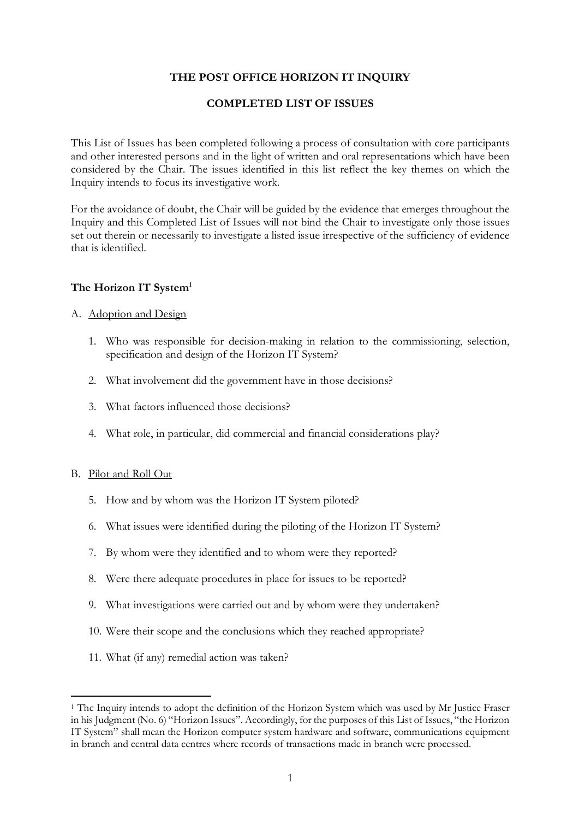# **THE POST OFFICE HORIZON IT INQUIRY**

# **COMPLETED LIST OF ISSUES**

This List of Issues has been completed following a process of consultation with core participants and other interested persons and in the light of written and oral representations which have been considered by the Chair. The issues identified in this list reflect the key themes on which the Inquiry intends to focus its investigative work.

For the avoidance of doubt, the Chair will be guided by the evidence that emerges throughout the Inquiry and this Completed List of Issues will not bind the Chair to investigate only those issues set out therein or necessarily to investigate a listed issue irrespective of the sufficiency of evidence that is identified.

# The Horizon IT System<sup>1</sup>

## A. Adoption and Design

- 1. Who was responsible for decision-making in relation to the commissioning, selection, specification and design of the Horizon IT System?
- 2. What involvement did the government have in those decisions?
- 3. What factors influenced those decisions?
- 4. What role, in particular, did commercial and financial considerations play?

## B. Pilot and Roll Out

 $\overline{a}$ 

- 5. How and by whom was the Horizon IT System piloted?
- 6. What issues were identified during the piloting of the Horizon IT System?
- 7. By whom were they identified and to whom were they reported?
- 8. Were there adequate procedures in place for issues to be reported?
- 9. What investigations were carried out and by whom were they undertaken?
- 10. Were their scope and the conclusions which they reached appropriate?
- 11. What (if any) remedial action was taken?

<sup>&</sup>lt;sup>1</sup> The Inquiry intends to adopt the definition of the Horizon System which was used by Mr Justice Fraser in his Judgment (No. 6) "Horizon Issues". Accordingly, for the purposes of this List of Issues, "the Horizon IT System" shall mean the Horizon computer system hardware and software, communications equipment in branch and central data centres where records of transactions made in branch were processed.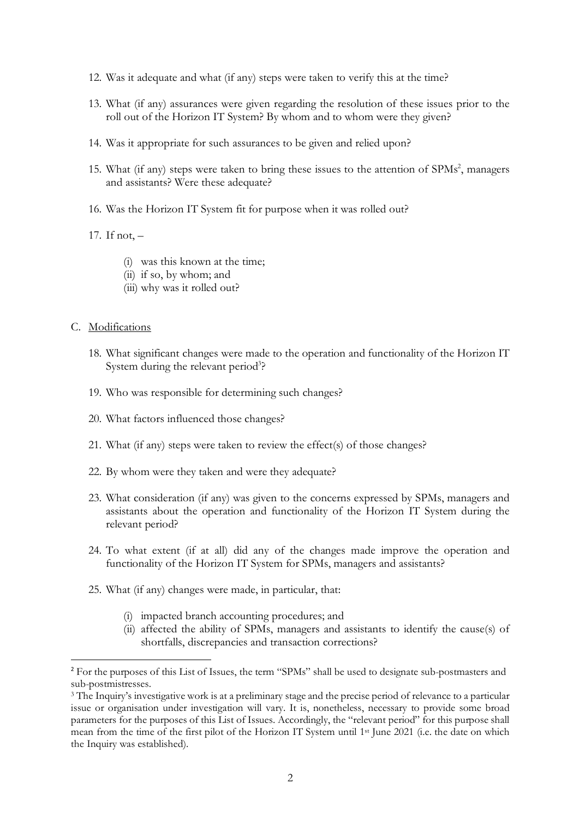- 12. Was it adequate and what (if any) steps were taken to verify this at the time?
- 13. What (if any) assurances were given regarding the resolution of these issues prior to the roll out of the Horizon IT System? By whom and to whom were they given?
- 14. Was it appropriate for such assurances to be given and relied upon?
- 15. What (if any) steps were taken to bring these issues to the attention of SPMs<sup>2</sup>, managers and assistants? Were these adequate?
- 16. Was the Horizon IT System fit for purpose when it was rolled out?

17. If not, –

- (i) was this known at the time;
- (ii) if so, by whom; and
- (iii) why was it rolled out?

## C. Modifications

- 18. What significant changes were made to the operation and functionality of the Horizon IT System during the relevant period<sup>3</sup>?
- 19. Who was responsible for determining such changes?
- 20. What factors influenced those changes?
- 21. What (if any) steps were taken to review the effect(s) of those changes?
- 22. By whom were they taken and were they adequate?
- 23. What consideration (if any) was given to the concerns expressed by SPMs, managers and assistants about the operation and functionality of the Horizon IT System during the relevant period?
- 24. To what extent (if at all) did any of the changes made improve the operation and functionality of the Horizon IT System for SPMs, managers and assistants?
- 25. What (if any) changes were made, in particular, that:
	- (i) impacted branch accounting procedures; and
	- (ii) affected the ability of SPMs, managers and assistants to identify the cause(s) of shortfalls, discrepancies and transaction corrections?

<sup>&</sup>lt;sup>2</sup> For the purposes of this List of Issues, the term "SPMs" shall be used to designate sub-postmasters and sub-postmistresses.

<sup>3</sup> The Inquiry's investigative work is at a preliminary stage and the precise period of relevance to a particular issue or organisation under investigation will vary. It is, nonetheless, necessary to provide some broad parameters for the purposes of this List of Issues. Accordingly, the "relevant period" for this purpose shall mean from the time of the first pilot of the Horizon IT System until 1st June 2021 (i.e. the date on which the Inquiry was established).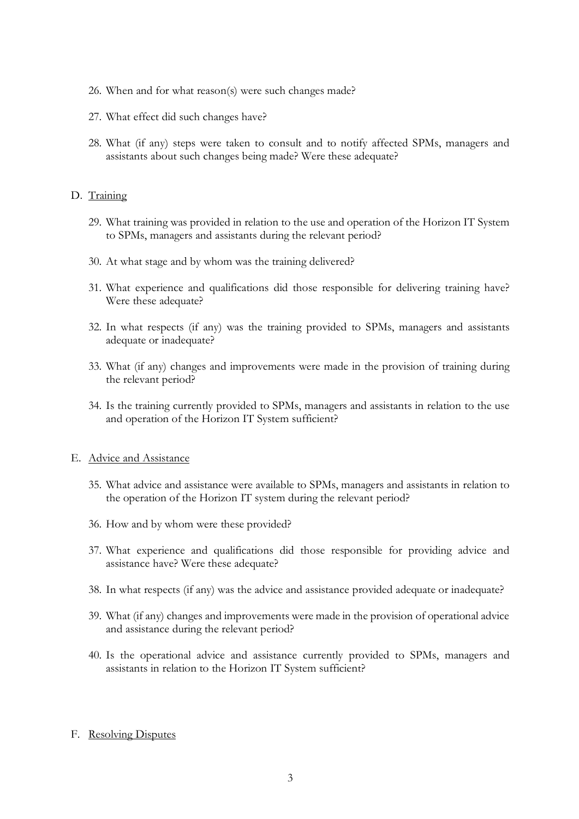- 26. When and for what reason(s) were such changes made?
- 27. What effect did such changes have?
- 28. What (if any) steps were taken to consult and to notify affected SPMs, managers and assistants about such changes being made? Were these adequate?

#### D. Training

- 29. What training was provided in relation to the use and operation of the Horizon IT System to SPMs, managers and assistants during the relevant period?
- 30. At what stage and by whom was the training delivered?
- 31. What experience and qualifications did those responsible for delivering training have? Were these adequate?
- 32. In what respects (if any) was the training provided to SPMs, managers and assistants adequate or inadequate?
- 33. What (if any) changes and improvements were made in the provision of training during the relevant period?
- 34. Is the training currently provided to SPMs, managers and assistants in relation to the use and operation of the Horizon IT System sufficient?

#### E. Advice and Assistance

- 35. What advice and assistance were available to SPMs, managers and assistants in relation to the operation of the Horizon IT system during the relevant period?
- 36. How and by whom were these provided?
- 37. What experience and qualifications did those responsible for providing advice and assistance have? Were these adequate?
- 38. In what respects (if any) was the advice and assistance provided adequate or inadequate?
- 39. What (if any) changes and improvements were made in the provision of operational advice and assistance during the relevant period?
- 40. Is the operational advice and assistance currently provided to SPMs, managers and assistants in relation to the Horizon IT System sufficient?

#### F. Resolving Disputes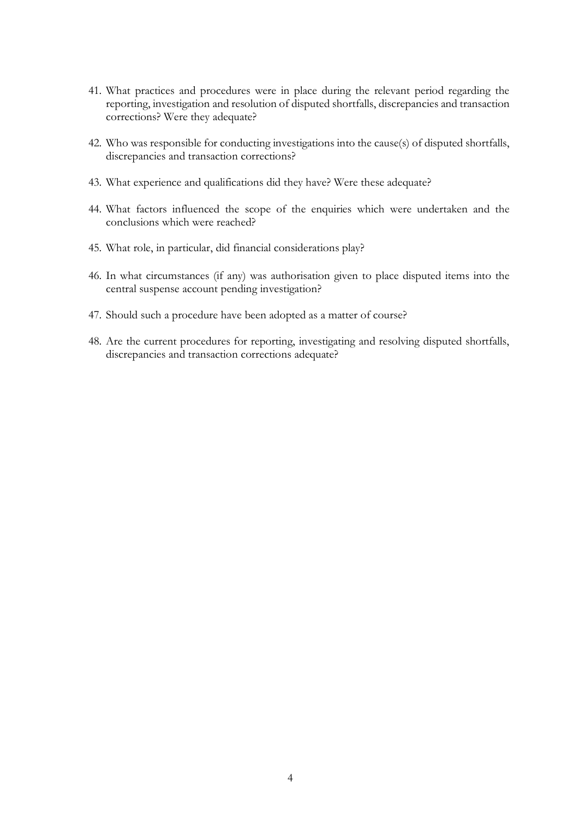- 41. What practices and procedures were in place during the relevant period regarding the reporting, investigation and resolution of disputed shortfalls, discrepancies and transaction corrections? Were they adequate?
- 42. Who was responsible for conducting investigations into the cause(s) of disputed shortfalls, discrepancies and transaction corrections?
- 43. What experience and qualifications did they have? Were these adequate?
- 44. What factors influenced the scope of the enquiries which were undertaken and the conclusions which were reached?
- 45. What role, in particular, did financial considerations play?
- 46. In what circumstances (if any) was authorisation given to place disputed items into the central suspense account pending investigation?
- 47. Should such a procedure have been adopted as a matter of course?
- 48. Are the current procedures for reporting, investigating and resolving disputed shortfalls, discrepancies and transaction corrections adequate?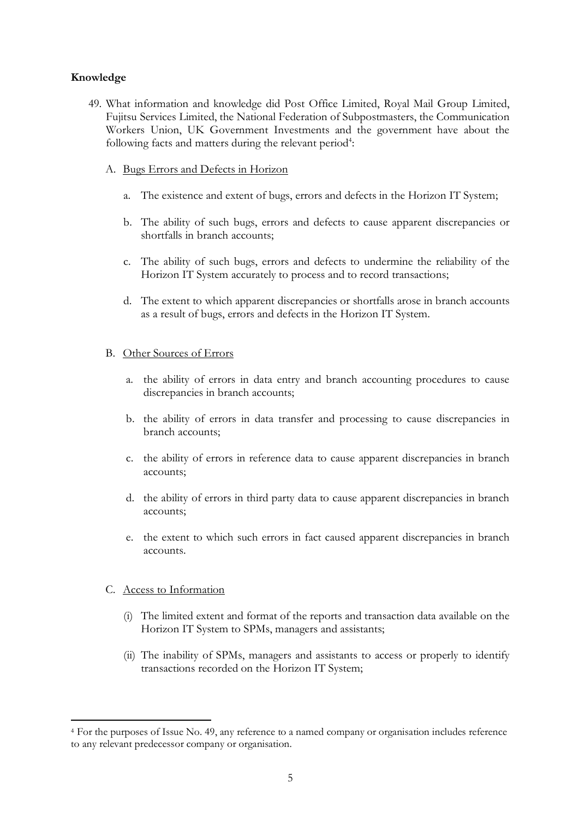# **Knowledge**

- 49. What information and knowledge did Post Office Limited, Royal Mail Group Limited, Fujitsu Services Limited, the National Federation of Subpostmasters, the Communication Workers Union, UK Government Investments and the government have about the following facts and matters during the relevant period<sup>4</sup>:
	- A. Bugs Errors and Defects in Horizon
		- a. The existence and extent of bugs, errors and defects in the Horizon IT System;
		- b. The ability of such bugs, errors and defects to cause apparent discrepancies or shortfalls in branch accounts;
		- c. The ability of such bugs, errors and defects to undermine the reliability of the Horizon IT System accurately to process and to record transactions;
		- d. The extent to which apparent discrepancies or shortfalls arose in branch accounts as a result of bugs, errors and defects in the Horizon IT System.

## B. Other Sources of Errors

- a. the ability of errors in data entry and branch accounting procedures to cause discrepancies in branch accounts;
- b. the ability of errors in data transfer and processing to cause discrepancies in branch accounts;
- c. the ability of errors in reference data to cause apparent discrepancies in branch accounts;
- d. the ability of errors in third party data to cause apparent discrepancies in branch accounts;
- e. the extent to which such errors in fact caused apparent discrepancies in branch accounts.

## C. Access to Information

 $\overline{a}$ 

- (i) The limited extent and format of the reports and transaction data available on the Horizon IT System to SPMs, managers and assistants;
- (ii) The inability of SPMs, managers and assistants to access or properly to identify transactions recorded on the Horizon IT System;

<sup>4</sup> For the purposes of Issue No. 49, any reference to a named company or organisation includes reference to any relevant predecessor company or organisation.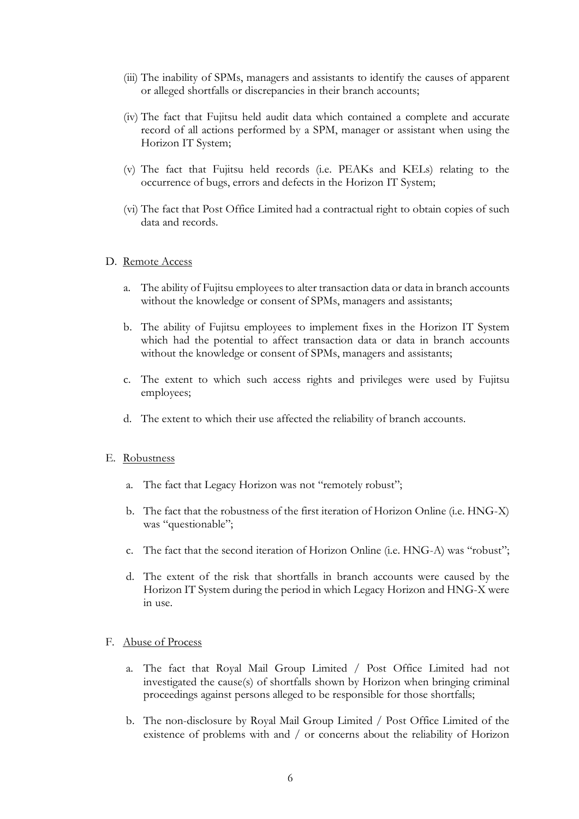- (iii) The inability of SPMs, managers and assistants to identify the causes of apparent or alleged shortfalls or discrepancies in their branch accounts;
- (iv) The fact that Fujitsu held audit data which contained a complete and accurate record of all actions performed by a SPM, manager or assistant when using the Horizon IT System;
- (v) The fact that Fujitsu held records (i.e. PEAKs and KELs) relating to the occurrence of bugs, errors and defects in the Horizon IT System;
- (vi) The fact that Post Office Limited had a contractual right to obtain copies of such data and records.

#### D. Remote Access

- a. The ability of Fujitsu employees to alter transaction data or data in branch accounts without the knowledge or consent of SPMs, managers and assistants;
- b. The ability of Fujitsu employees to implement fixes in the Horizon IT System which had the potential to affect transaction data or data in branch accounts without the knowledge or consent of SPMs, managers and assistants;
- c. The extent to which such access rights and privileges were used by Fujitsu employees;
- d. The extent to which their use affected the reliability of branch accounts.

#### E. Robustness

- a. The fact that Legacy Horizon was not "remotely robust";
- b. The fact that the robustness of the first iteration of Horizon Online (i.e. HNG-X) was "questionable";
- c. The fact that the second iteration of Horizon Online (i.e. HNG-A) was "robust";
- d. The extent of the risk that shortfalls in branch accounts were caused by the Horizon IT System during the period in which Legacy Horizon and HNG-X were in use.

#### F. Abuse of Process

- a. The fact that Royal Mail Group Limited / Post Office Limited had not investigated the cause(s) of shortfalls shown by Horizon when bringing criminal proceedings against persons alleged to be responsible for those shortfalls;
- b. The non-disclosure by Royal Mail Group Limited / Post Office Limited of the existence of problems with and / or concerns about the reliability of Horizon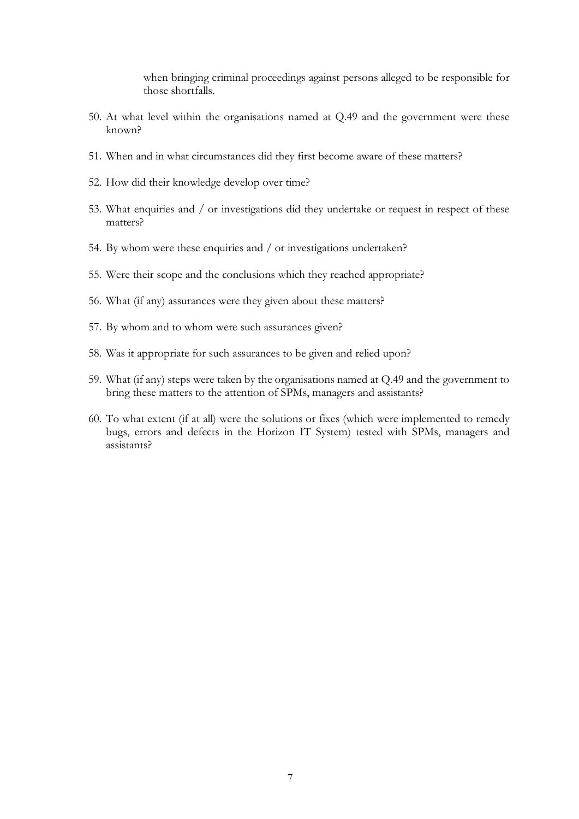when bringing criminal proceedings against persons alleged to be responsible for those shortfalls.

- 50. At what level within the organisations named at Q.49 and the government were these known?
- 51. When and in what circumstances did they first become aware of these matters?
- 52. How did their knowledge develop over time?
- 53. What enquiries and / or investigations did they undertake or request in respect of these matters?
- 54. By whom were these enquiries and / or investigations undertaken?
- 55. Were their scope and the conclusions which they reached appropriate?
- 56. What (if any) assurances were they given about these matters?
- 57. By whom and to whom were such assurances given?
- 58. Was it appropriate for such assurances to be given and relied upon?
- 59. What (if any) steps were taken by the organisations named at Q.49 and the government to bring these matters to the attention of SPMs, managers and assistants?
- 60. To what extent (if at all) were the solutions or fixes (which were implemented to remedy bugs, errors and defects in the Horizon IT System) tested with SPMs, managers and assistants?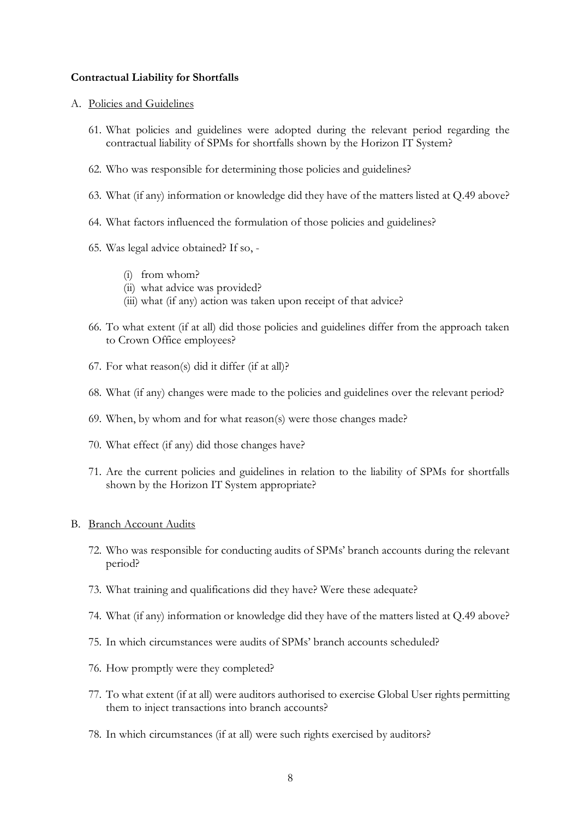## **Contractual Liability for Shortfalls**

#### A. Policies and Guidelines

- 61. What policies and guidelines were adopted during the relevant period regarding the contractual liability of SPMs for shortfalls shown by the Horizon IT System?
- 62. Who was responsible for determining those policies and guidelines?
- 63. What (if any) information or knowledge did they have of the matters listed at Q.49 above?
- 64. What factors influenced the formulation of those policies and guidelines?
- 65. Was legal advice obtained? If so,
	- (i) from whom?
	- (ii) what advice was provided?
	- (iii) what (if any) action was taken upon receipt of that advice?
- 66. To what extent (if at all) did those policies and guidelines differ from the approach taken to Crown Office employees?
- 67. For what reason(s) did it differ (if at all)?
- 68. What (if any) changes were made to the policies and guidelines over the relevant period?
- 69. When, by whom and for what reason(s) were those changes made?
- 70. What effect (if any) did those changes have?
- 71. Are the current policies and guidelines in relation to the liability of SPMs for shortfalls shown by the Horizon IT System appropriate?

#### B. Branch Account Audits

- 72. Who was responsible for conducting audits of SPMs' branch accounts during the relevant period?
- 73. What training and qualifications did they have? Were these adequate?
- 74. What (if any) information or knowledge did they have of the matters listed at Q.49 above?
- 75. In which circumstances were audits of SPMs' branch accounts scheduled?
- 76. How promptly were they completed?
- 77. To what extent (if at all) were auditors authorised to exercise Global User rights permitting them to inject transactions into branch accounts?
- 78. In which circumstances (if at all) were such rights exercised by auditors?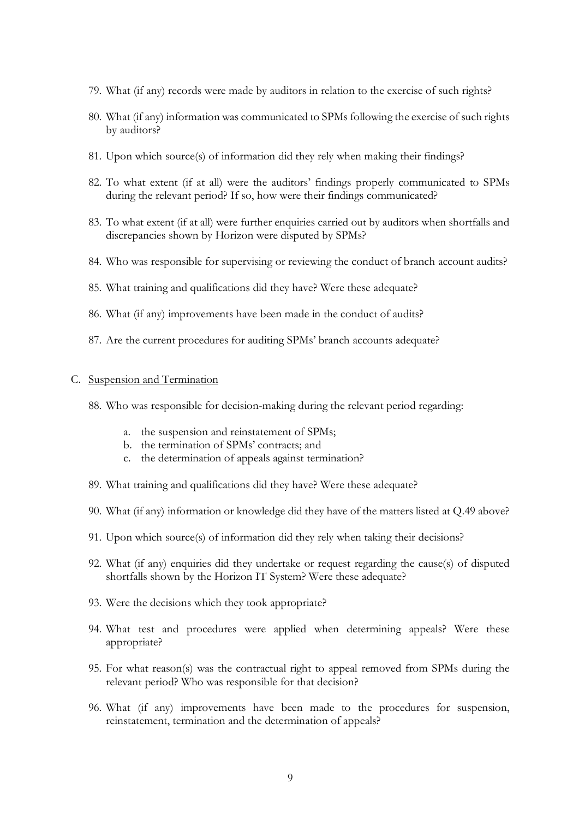- 79. What (if any) records were made by auditors in relation to the exercise of such rights?
- 80. What (if any) information was communicated to SPMs following the exercise of such rights by auditors?
- 81. Upon which source(s) of information did they rely when making their findings?
- 82. To what extent (if at all) were the auditors' findings properly communicated to SPMs during the relevant period? If so, how were their findings communicated?
- 83. To what extent (if at all) were further enquiries carried out by auditors when shortfalls and discrepancies shown by Horizon were disputed by SPMs?
- 84. Who was responsible for supervising or reviewing the conduct of branch account audits?
- 85. What training and qualifications did they have? Were these adequate?
- 86. What (if any) improvements have been made in the conduct of audits?
- 87. Are the current procedures for auditing SPMs' branch accounts adequate?

## C. Suspension and Termination

- 88. Who was responsible for decision-making during the relevant period regarding:
	- a. the suspension and reinstatement of SPMs;
	- b. the termination of SPMs' contracts; and
	- c. the determination of appeals against termination?
- 89. What training and qualifications did they have? Were these adequate?
- 90. What (if any) information or knowledge did they have of the matters listed at Q.49 above?
- 91. Upon which source(s) of information did they rely when taking their decisions?
- 92. What (if any) enquiries did they undertake or request regarding the cause(s) of disputed shortfalls shown by the Horizon IT System? Were these adequate?
- 93. Were the decisions which they took appropriate?
- 94. What test and procedures were applied when determining appeals? Were these appropriate?
- 95. For what reason(s) was the contractual right to appeal removed from SPMs during the relevant period? Who was responsible for that decision?
- 96. What (if any) improvements have been made to the procedures for suspension, reinstatement, termination and the determination of appeals?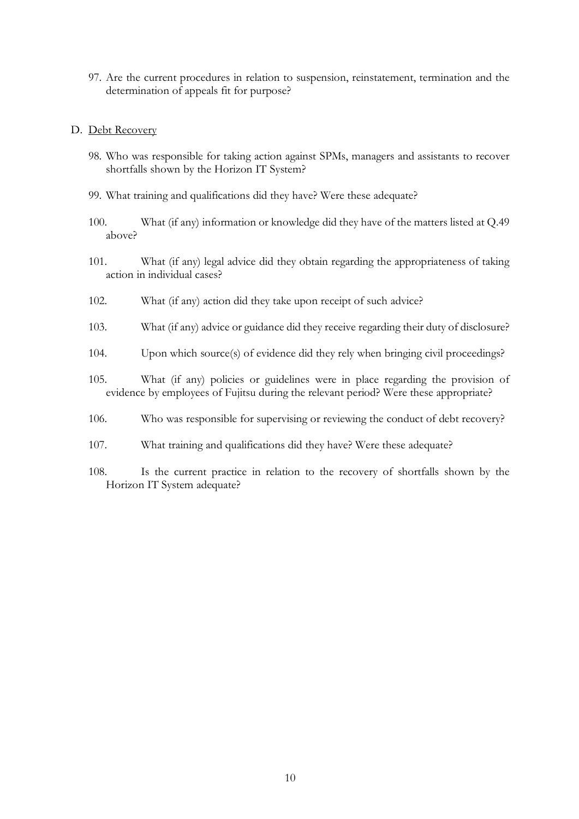97. Are the current procedures in relation to suspension, reinstatement, termination and the determination of appeals fit for purpose?

#### D. Debt Recovery

- 98. Who was responsible for taking action against SPMs, managers and assistants to recover shortfalls shown by the Horizon IT System?
- 99. What training and qualifications did they have? Were these adequate?
- 100. What (if any) information or knowledge did they have of the matters listed at Q.49 above?
- 101. What (if any) legal advice did they obtain regarding the appropriateness of taking action in individual cases?
- 102. What (if any) action did they take upon receipt of such advice?
- 103. What (if any) advice or guidance did they receive regarding their duty of disclosure?
- 104. Upon which source(s) of evidence did they rely when bringing civil proceedings?
- 105. What (if any) policies or guidelines were in place regarding the provision of evidence by employees of Fujitsu during the relevant period? Were these appropriate?
- 106. Who was responsible for supervising or reviewing the conduct of debt recovery?
- 107. What training and qualifications did they have? Were these adequate?
- 108. Is the current practice in relation to the recovery of shortfalls shown by the Horizon IT System adequate?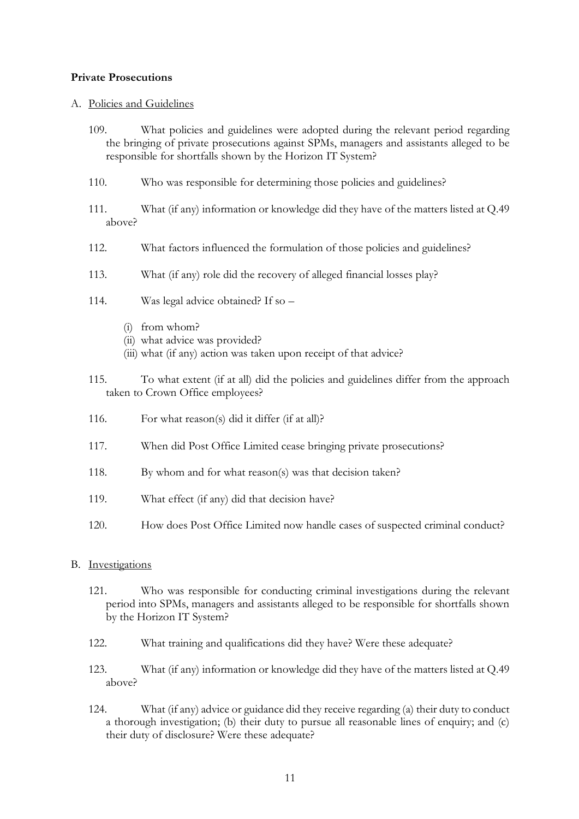## **Private Prosecutions**

## A. Policies and Guidelines

- 109. What policies and guidelines were adopted during the relevant period regarding the bringing of private prosecutions against SPMs, managers and assistants alleged to be responsible for shortfalls shown by the Horizon IT System?
- 110. Who was responsible for determining those policies and guidelines?
- 111. What (if any) information or knowledge did they have of the matters listed at Q.49 above?
- 112. What factors influenced the formulation of those policies and guidelines?
- 113. What (if any) role did the recovery of alleged financial losses play?
- 114. Was legal advice obtained? If so
	- (i) from whom?
	- (ii) what advice was provided?
	- (iii) what (if any) action was taken upon receipt of that advice?
- 115. To what extent (if at all) did the policies and guidelines differ from the approach taken to Crown Office employees?
- 116. For what reason(s) did it differ (if at all)?
- 117. When did Post Office Limited cease bringing private prosecutions?
- 118. By whom and for what reason(s) was that decision taken?
- 119. What effect (if any) did that decision have?
- 120. How does Post Office Limited now handle cases of suspected criminal conduct?

## B. Investigations

- 121. Who was responsible for conducting criminal investigations during the relevant period into SPMs, managers and assistants alleged to be responsible for shortfalls shown by the Horizon IT System?
- 122. What training and qualifications did they have? Were these adequate?
- 123. What (if any) information or knowledge did they have of the matters listed at Q.49 above?
- 124. What (if any) advice or guidance did they receive regarding (a) their duty to conduct a thorough investigation; (b) their duty to pursue all reasonable lines of enquiry; and (c) their duty of disclosure? Were these adequate?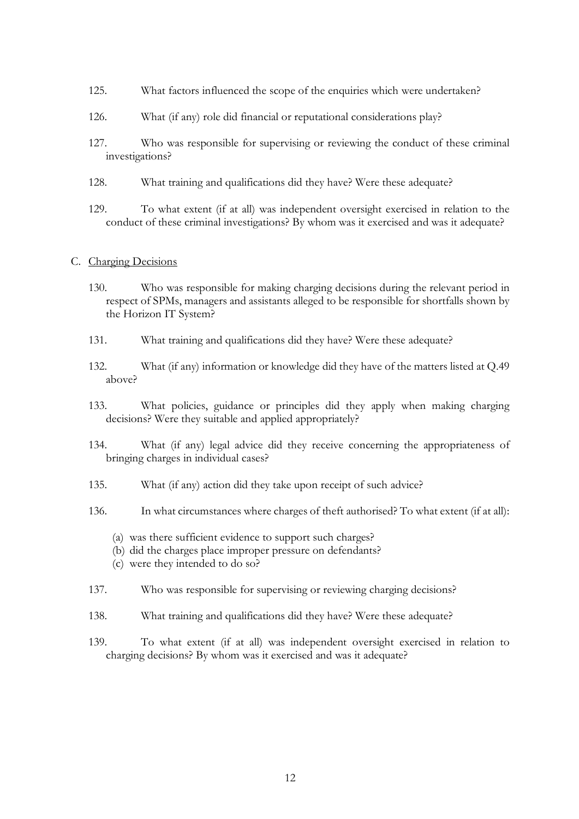- 125. What factors influenced the scope of the enquiries which were undertaken?
- 126. What (if any) role did financial or reputational considerations play?
- 127. Who was responsible for supervising or reviewing the conduct of these criminal investigations?
- 128. What training and qualifications did they have? Were these adequate?
- 129. To what extent (if at all) was independent oversight exercised in relation to the conduct of these criminal investigations? By whom was it exercised and was it adequate?

## C. Charging Decisions

- 130. Who was responsible for making charging decisions during the relevant period in respect of SPMs, managers and assistants alleged to be responsible for shortfalls shown by the Horizon IT System?
- 131. What training and qualifications did they have? Were these adequate?
- 132. What (if any) information or knowledge did they have of the matters listed at Q.49 above?
- 133. What policies, guidance or principles did they apply when making charging decisions? Were they suitable and applied appropriately?
- 134. What (if any) legal advice did they receive concerning the appropriateness of bringing charges in individual cases?
- 135. What (if any) action did they take upon receipt of such advice?
- 136. In what circumstances where charges of theft authorised? To what extent (if at all):
	- (a) was there sufficient evidence to support such charges?
	- (b) did the charges place improper pressure on defendants?
	- (c) were they intended to do so?
- 137. Who was responsible for supervising or reviewing charging decisions?
- 138. What training and qualifications did they have? Were these adequate?
- 139. To what extent (if at all) was independent oversight exercised in relation to charging decisions? By whom was it exercised and was it adequate?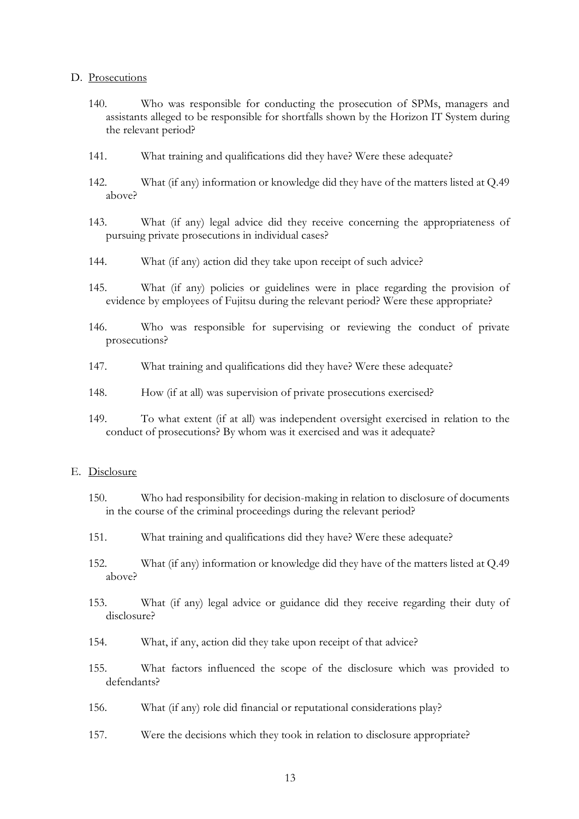#### D. Prosecutions

- 140. Who was responsible for conducting the prosecution of SPMs, managers and assistants alleged to be responsible for shortfalls shown by the Horizon IT System during the relevant period?
- 141. What training and qualifications did they have? Were these adequate?
- 142. What (if any) information or knowledge did they have of the matters listed at Q.49 above?
- 143. What (if any) legal advice did they receive concerning the appropriateness of pursuing private prosecutions in individual cases?
- 144. What (if any) action did they take upon receipt of such advice?
- 145. What (if any) policies or guidelines were in place regarding the provision of evidence by employees of Fujitsu during the relevant period? Were these appropriate?
- 146. Who was responsible for supervising or reviewing the conduct of private prosecutions?
- 147. What training and qualifications did they have? Were these adequate?
- 148. How (if at all) was supervision of private prosecutions exercised?
- 149. To what extent (if at all) was independent oversight exercised in relation to the conduct of prosecutions? By whom was it exercised and was it adequate?

#### E. Disclosure

- 150. Who had responsibility for decision-making in relation to disclosure of documents in the course of the criminal proceedings during the relevant period?
- 151. What training and qualifications did they have? Were these adequate?
- 152. What (if any) information or knowledge did they have of the matters listed at Q.49 above?
- 153. What (if any) legal advice or guidance did they receive regarding their duty of disclosure?
- 154. What, if any, action did they take upon receipt of that advice?
- 155. What factors influenced the scope of the disclosure which was provided to defendants?
- 156. What (if any) role did financial or reputational considerations play?
- 157. Were the decisions which they took in relation to disclosure appropriate?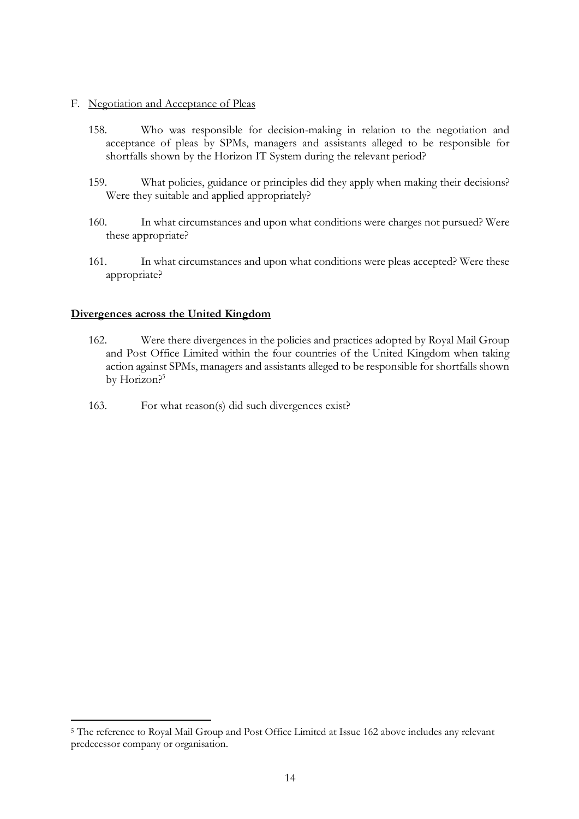#### F. Negotiation and Acceptance of Pleas

- 158. Who was responsible for decision-making in relation to the negotiation and acceptance of pleas by SPMs, managers and assistants alleged to be responsible for shortfalls shown by the Horizon IT System during the relevant period?
- 159. What policies, guidance or principles did they apply when making their decisions? Were they suitable and applied appropriately?
- 160. In what circumstances and upon what conditions were charges not pursued? Were these appropriate?
- 161. In what circumstances and upon what conditions were pleas accepted? Were these appropriate?

## **Divergences across the United Kingdom**

 $\overline{a}$ 

- 162. Were there divergences in the policies and practices adopted by Royal Mail Group and Post Office Limited within the four countries of the United Kingdom when taking action against SPMs, managers and assistants alleged to be responsible for shortfalls shown by Horizon?<sup>5</sup>
- 163. For what reason(s) did such divergences exist?

<sup>5</sup> The reference to Royal Mail Group and Post Office Limited at Issue 162 above includes any relevant predecessor company or organisation.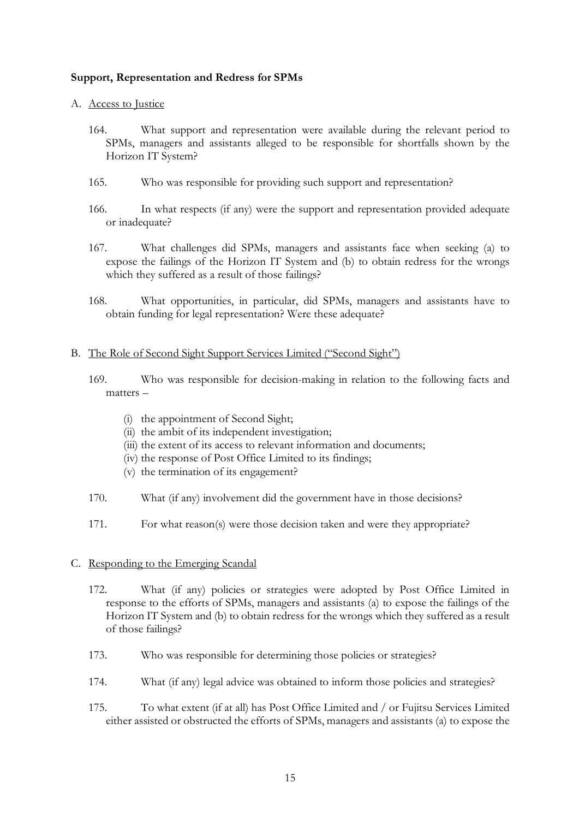# **Support, Representation and Redress for SPMs**

## A. Access to Justice

- 164. What support and representation were available during the relevant period to SPMs, managers and assistants alleged to be responsible for shortfalls shown by the Horizon IT System?
- 165. Who was responsible for providing such support and representation?
- 166. In what respects (if any) were the support and representation provided adequate or inadequate?
- 167. What challenges did SPMs, managers and assistants face when seeking (a) to expose the failings of the Horizon IT System and (b) to obtain redress for the wrongs which they suffered as a result of those failings?
- 168. What opportunities, in particular, did SPMs, managers and assistants have to obtain funding for legal representation? Were these adequate?

## B. The Role of Second Sight Support Services Limited ("Second Sight")

- 169. Who was responsible for decision-making in relation to the following facts and matters –
	- (i) the appointment of Second Sight;
	- (ii) the ambit of its independent investigation;
	- (iii) the extent of its access to relevant information and documents;
	- (iv) the response of Post Office Limited to its findings;
	- (v) the termination of its engagement?
- 170. What (if any) involvement did the government have in those decisions?
- 171. For what reason(s) were those decision taken and were they appropriate?

## C. Responding to the Emerging Scandal

- 172. What (if any) policies or strategies were adopted by Post Office Limited in response to the efforts of SPMs, managers and assistants (a) to expose the failings of the Horizon IT System and (b) to obtain redress for the wrongs which they suffered as a result of those failings?
- 173. Who was responsible for determining those policies or strategies?
- 174. What (if any) legal advice was obtained to inform those policies and strategies?
- 175. To what extent (if at all) has Post Office Limited and / or Fujitsu Services Limited either assisted or obstructed the efforts of SPMs, managers and assistants (a) to expose the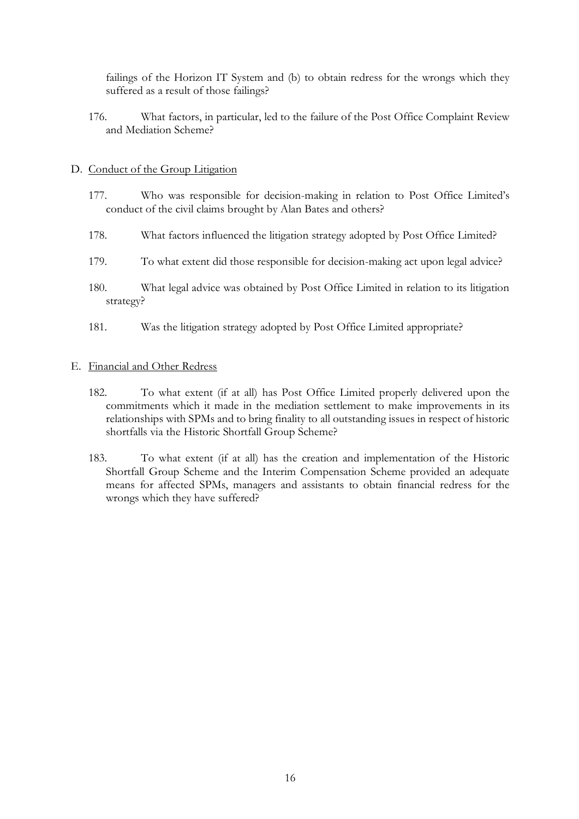failings of the Horizon IT System and (b) to obtain redress for the wrongs which they suffered as a result of those failings?

176. What factors, in particular, led to the failure of the Post Office Complaint Review and Mediation Scheme?

## D. Conduct of the Group Litigation

- 177. Who was responsible for decision-making in relation to Post Office Limited's conduct of the civil claims brought by Alan Bates and others?
- 178. What factors influenced the litigation strategy adopted by Post Office Limited?
- 179. To what extent did those responsible for decision-making act upon legal advice?
- 180. What legal advice was obtained by Post Office Limited in relation to its litigation strategy?
- 181. Was the litigation strategy adopted by Post Office Limited appropriate?

## E. Financial and Other Redress

- 182. To what extent (if at all) has Post Office Limited properly delivered upon the commitments which it made in the mediation settlement to make improvements in its relationships with SPMs and to bring finality to all outstanding issues in respect of historic shortfalls via the Historic Shortfall Group Scheme?
- 183. To what extent (if at all) has the creation and implementation of the Historic Shortfall Group Scheme and the Interim Compensation Scheme provided an adequate means for affected SPMs, managers and assistants to obtain financial redress for the wrongs which they have suffered?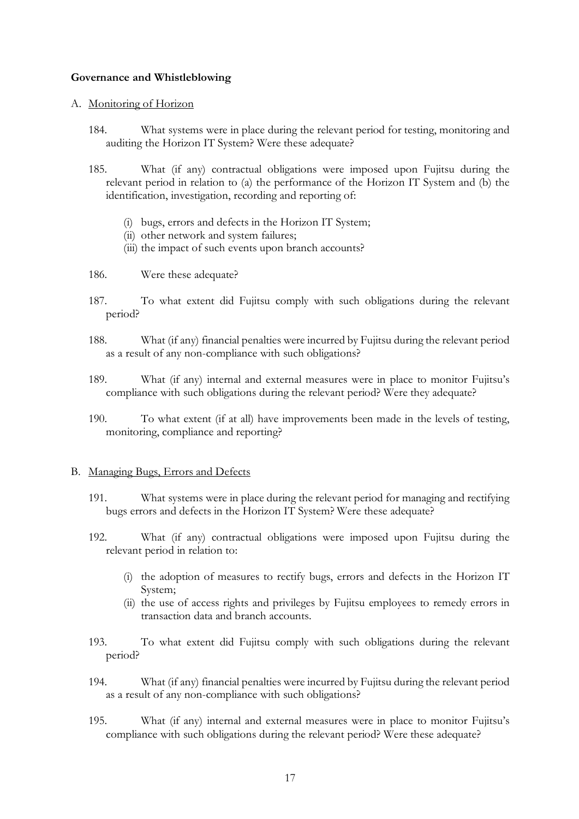# **Governance and Whistleblowing**

## A. Monitoring of Horizon

- 184. What systems were in place during the relevant period for testing, monitoring and auditing the Horizon IT System? Were these adequate?
- 185. What (if any) contractual obligations were imposed upon Fujitsu during the relevant period in relation to (a) the performance of the Horizon IT System and (b) the identification, investigation, recording and reporting of:
	- (i) bugs, errors and defects in the Horizon IT System;
	- (ii) other network and system failures;
	- (iii) the impact of such events upon branch accounts?
- 186. Were these adequate?
- 187. To what extent did Fujitsu comply with such obligations during the relevant period?
- 188. What (if any) financial penalties were incurred by Fujitsu during the relevant period as a result of any non-compliance with such obligations?
- 189. What (if any) internal and external measures were in place to monitor Fujitsu's compliance with such obligations during the relevant period? Were they adequate?
- 190. To what extent (if at all) have improvements been made in the levels of testing, monitoring, compliance and reporting?

## B. Managing Bugs, Errors and Defects

- 191. What systems were in place during the relevant period for managing and rectifying bugs errors and defects in the Horizon IT System? Were these adequate?
- 192. What (if any) contractual obligations were imposed upon Fujitsu during the relevant period in relation to:
	- (i) the adoption of measures to rectify bugs, errors and defects in the Horizon IT System;
	- (ii) the use of access rights and privileges by Fujitsu employees to remedy errors in transaction data and branch accounts.
- 193. To what extent did Fujitsu comply with such obligations during the relevant period?
- 194. What (if any) financial penalties were incurred by Fujitsu during the relevant period as a result of any non-compliance with such obligations?
- 195. What (if any) internal and external measures were in place to monitor Fujitsu's compliance with such obligations during the relevant period? Were these adequate?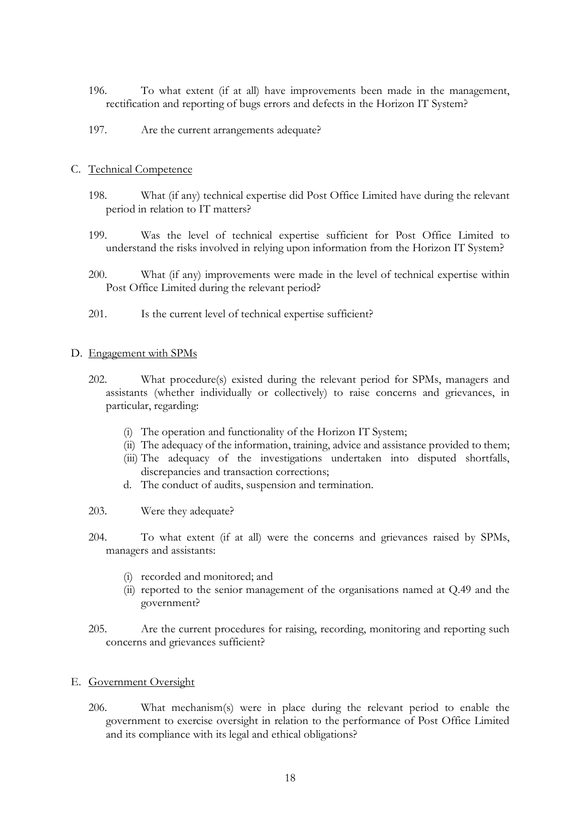- 196. To what extent (if at all) have improvements been made in the management, rectification and reporting of bugs errors and defects in the Horizon IT System?
- 197. Are the current arrangements adequate?

## C. Technical Competence

- 198. What (if any) technical expertise did Post Office Limited have during the relevant period in relation to IT matters?
- 199. Was the level of technical expertise sufficient for Post Office Limited to understand the risks involved in relying upon information from the Horizon IT System?
- 200. What (if any) improvements were made in the level of technical expertise within Post Office Limited during the relevant period?
- 201. Is the current level of technical expertise sufficient?

## D. Engagement with SPMs

- 202. What procedure(s) existed during the relevant period for SPMs, managers and assistants (whether individually or collectively) to raise concerns and grievances, in particular, regarding:
	- (i) The operation and functionality of the Horizon IT System;
	- (ii) The adequacy of the information, training, advice and assistance provided to them;
	- (iii) The adequacy of the investigations undertaken into disputed shortfalls, discrepancies and transaction corrections;
	- d. The conduct of audits, suspension and termination.
- 203. Were they adequate?
- 204. To what extent (if at all) were the concerns and grievances raised by SPMs, managers and assistants:
	- (i) recorded and monitored; and
	- (ii) reported to the senior management of the organisations named at Q.49 and the government?
- 205. Are the current procedures for raising, recording, monitoring and reporting such concerns and grievances sufficient?

## E. Government Oversight

206. What mechanism(s) were in place during the relevant period to enable the government to exercise oversight in relation to the performance of Post Office Limited and its compliance with its legal and ethical obligations?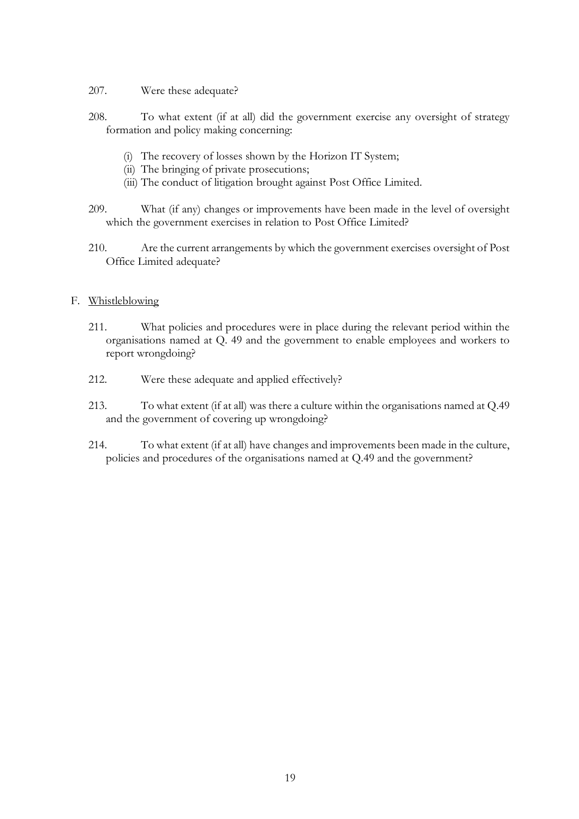- 207. Were these adequate?
- 208. To what extent (if at all) did the government exercise any oversight of strategy formation and policy making concerning:
	- (i) The recovery of losses shown by the Horizon IT System;
	- (ii) The bringing of private prosecutions;
	- (iii) The conduct of litigation brought against Post Office Limited.
- 209. What (if any) changes or improvements have been made in the level of oversight which the government exercises in relation to Post Office Limited?
- 210. Are the current arrangements by which the government exercises oversight of Post Office Limited adequate?

## F. Whistleblowing

- 211. What policies and procedures were in place during the relevant period within the organisations named at Q. 49 and the government to enable employees and workers to report wrongdoing?
- 212. Were these adequate and applied effectively?
- 213. To what extent (if at all) was there a culture within the organisations named at Q.49 and the government of covering up wrongdoing?
- 214. To what extent (if at all) have changes and improvements been made in the culture, policies and procedures of the organisations named at Q.49 and the government?